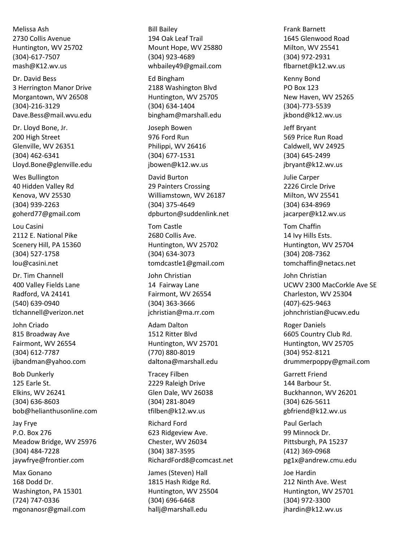Melissa Ash 2730 Collis Avenue Huntington, WV 25702 (304)-617-7507 mash@K12.wv.us

Dr. David Bess 3 Herrington Manor Drive Morgantown, WV 26508 (304)-216-3129 Dave.Bess@mail.wvu.edu

Dr. Lloyd Bone, Jr. 200 High Street Glenville, WV 26351 (304) 462-6341 Lloyd.Bone@glenville.edu

Wes Bullington 40 Hidden Valley Rd Kenova, WV 25530 (304) 939-2263 goherd77@gmail.com

Lou Casini 2112 E. National Pike Scenery Hill, PA 15360 (304) 527-1758 lou@casini.net

Dr. Tim Channell 400 Valley Fields Lane Radford, VA 24141 (540) 639-0940 tlchannell@verizon.net

John Criado 815 Broadway Ave Fairmont, WV 26554 (304) 612-7787 ijbandman@yahoo.com

Bob Dunkerly 125 Earle St. Elkins, WV 26241 (304) 636-8603 bob@helianthusonline.com

Jay Frye P.O. Box 276 Meadow Bridge, WV 25976 (304) 484-7228 jaywfrye@frontier.com

Max Gonano 168 Dodd Dr. Washington, PA 15301 (724) 747-0336 mgonanosr@gmail.com Bill Bailey 194 Oak Leaf Trail Mount Hope, WV 25880 (304) 923-4689 whbailey49@gmail.com

Ed Bingham 2188 Washington Blvd Huntington, WV 25705 (304) 634-1404 bingham@marshall.edu

Joseph Bowen 976 Ford Run Philippi, WV 26416 (304) 677-1531 jbowen@k12.wv.us

David Burton 29 Painters Crossing Williamstown, WV 26187 (304) 375-4649 dpburton@suddenlink.net

Tom Castle 2680 Collis Ave. Huntington, WV 25702 (304) 634-3073 tomdcastle1@gmail.com

John Christian 14 Fairway Lane Fairmont, WV 26554 (304) 363-3666 jchristian@ma.rr.com

Adam Dalton 1512 Ritter Blvd Huntington, WV 25701 (770) 880-8019 daltona@marshall.edu

Tracey Filben 2229 Raleigh Drive Glen Dale, WV 26038 (304) 281-8049 tfilben@k12.wv.us

Richard Ford 623 Ridgeview Ave. Chester, WV 26034 (304) 387-3595 RichardFord8@comcast.net

James (Steven) Hall 1815 Hash Ridge Rd. Huntington, WV 25504 (304) 696-6468 hallj@marshall.edu

Frank Barnett 1645 Glenwood Road Milton, WV 25541 (304) 972-2931 flbarnet@k12.wv.us

Kenny Bond PO Box 123 New Haven, WV 25265 (304)-773-5539 jkbond@k12.wv.us

Jeff Bryant 569 Price Run Road Caldwell, WV 24925 (304) 645-2499 jbryant@k12.wv.us

Julie Carper 2226 Circle Drive Milton, WV 25541 (304) 634-8969 jacarper@k12.wv.us

Tom Chaffin 14 Ivy Hills Ests. Huntington, WV 25704 (304) 208-7362 tomchaffin@netacs.net

John Christian UCWV 2300 MacCorkle Ave SE Charleston, WV 25304 (407)-625-9463 johnchristian@ucwv.edu

Roger Daniels 6605 Country Club Rd. Huntington, WV 25705 (304) 952-8121 drummerpoppy@gmail.com

Garrett Friend 144 Barbour St. Buckhannon, WV 26201 (304) 626-5611 gbfriend@k12.wv.us

Paul Gerlach 99 Minnock Dr. Pittsburgh, PA 15237 (412) 369-0968 pg1x@andrew.cmu.edu

Joe Hardin 212 Ninth Ave. West Huntington, WV 25701 (304) 972-3300 jhardin@k12.wv.us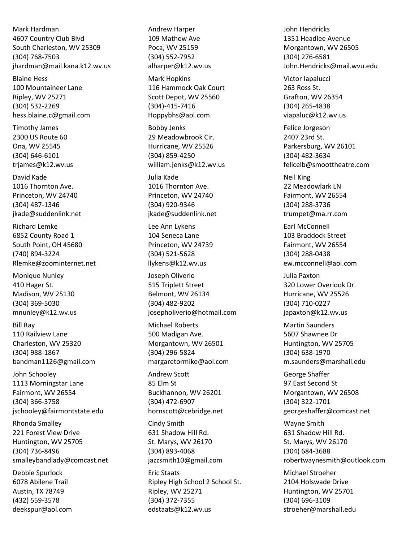Mark Hardman 4607 Country Club Blvd South Charleston, WV 25309 (304) 768-7503 jhardman@mail.kana.k12.wv.us

Blaine Hess 100 Mountaineer Lane Ripley, WV 25271 (304) 532-2269 hess.blaine.c@gmail.com

Timothy James 2300 US Route 60 Ona, WV 25545 (304) 646-6101 trjames@k12.wv.us

David Kade 1016 Thornton Ave. Princeton, WV 24740 (304) 487-1346 jkade@suddenlink.net

Richard Lemke 6852 County Road 1 South Point, OH 45680 (740) 894-3224 Rlemke@zoominternet.net

Monique Nunley 410 Hager St. Madison, WV 25130 (304) 369-5030 mnunley@k12.wv.us

Bill Ray 110 Railview Lane Charleston, WV 25320 (304) 988-1867 bandman1126@gmail.com

John Schooley 1113 Morningstar Lane Fairmont, WV 26554 (304) 366-3758 jschooley@fairmontstate.edu

Rhonda Smalley 221 Forest View Drive Huntington, WV 25705 (304) 736-8496 smalleybandlady@comcast.net

Debbie Spurlock 6078 Abilene Trail Austin, TX 78749 (432) 559-3578 deekspur@aol.com Andrew Harper 109 Mathew Ave Poca, WV 25159 (304) 552-7952 alharper@k12.wv.us

Mark Hopkins 116 Hammock Oak Court Scott Depot, WV 25560 (304)-415-7416 Hoppybhs@aol.com

Bobby Jenks 29 Meadowbrook Cir. Hurricane, WV 25526 (304) 859-4250 william.jenks@k12.wv.us

Julia Kade 1016 Thornton Ave. Princeton, WV 24740 (304) 920-9346 jkade@suddenlink.net

Lee Ann Lykens 104 Seneca Lane Princeton, WV 24739 (304) 521-5628 llykens@k12.wv.us

Joseph Oliverio 515 Triplett Street Belmont, WV 26134 (304) 482-9202 josepholiverio@hotmail.com

Michael Roberts 500 Madigan Ave. Morgantown, WV 26501 (304) 296-5824 margaretormike@aol.com

Andrew Scott 85 Elm St Buckhannon, WV 26201 (304) 472-6907 hornscott@cebridge.net

Cindy Smith 631 Shadow Hill Rd. St. Marys, WV 26170 (304) 893-4068 jazzsmith10@gmail.com

Eric Staats Ripley High School 2 School St. Ripley, WV 25271 (304) 372-7355 edstaats@k12.wv.us

John Hendricks 1351 Headlee Avenue Morgantown, WV 26505 (304) 276-6581 John.Hendricks@mail.wvu.edu

Victor Iapalucci 263 Ross St. Grafton, WV 26354 (304) 265-4838 viapaluc@k12.wv.us

Felice Jorgeson 2407 23rd St. Parkersburg, WV 26101 (304) 482-3634 felicelb@smoottheatre.com

Neil King 22 Meadowlark LN Fairmont, WV 26554 (304) 288-3736 trumpet@ma.rr.com

Earl McConnell 103 Braddock Street Fairmont, WV 26554 (304) 288-0438 ew.mcconnell@aol.com

Julia Paxton 320 Lower Overlook Dr. Hurricane, WV 25526 (304) 710-0227 japaxton@k12.wv.us

Martin Saunders 5607 Shawnee Dr Huntington, WV 25705 (304) 638-1970 m.saunders@marshall.edu

George Shaffer 97 East Second St Morgantown, WV 26508 (304) 322-1701 georgeshaffer@comcast.net

Wayne Smith 631 Shadow Hill Rd. St. Marys, WV 26170 (304) 684-3688 robertwaynesmith@outlook.com

Michael Stroeher 2104 Holswade Drive Huntington, WV 25701 (304) 696-3109 stroeher@marshall.edu